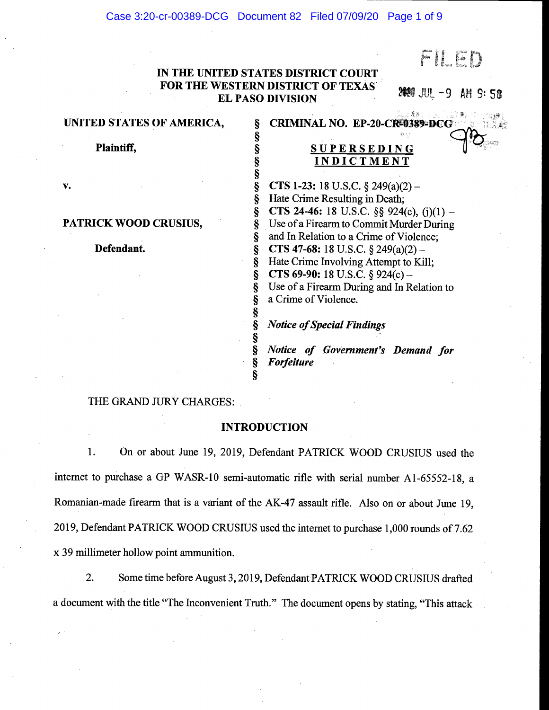Case 3:20-cr-00389-DCG Document 82 Filed 07/09/20 Page 1 of 9

FILED

## IN THE UNITED STATES DISTRICT COURT FOR THE WESTERN DISTRICT OF TEXAS EL PASO DIVISION **FLUX 1999** JUL -9 AM 9:58 - 1998年 - 1998年 - 1998年 - 1998年 - 1998年 - 1998年 - 1998年 - 1998年 - 1998年 - 1998年 - 1998年 - 1998年 - 19<br>1998年 - 1998年 - 1998年 - 1998年 - 1998年 - 1998年 - 1998年 - 1998年 - 1998年 - 1998年 - 1998年 - 1998年 - 1998年 - 1998年

Ş ş § ş

Ş

Ş ş ş Ş ş

Ş § §

Ş ş

#### UNITED STATES OF AMERICA,

Plaintiff,

# **SUPERSEDING** INDICTMENT

**CTS 1-23:** 18 U.S.C.  $\S$  249(a)(2) – Hate Crime Resulting in Death; **CTS 24-46:** 18 U.S.C. §§ 924(c),  $(j)(1)$  – Use of a Firearm to Commit Murder During and In Relation to a Crime of Violence; **CTS 47-68:** 18 U.S.C.  $\S$  249(a)(2) – Hate Crime Involving Attempt to Kill; **CTS 69-90:** 18 U.S.C. § 924(c) – Use of a Firearm During and In Relation to a Crime of Violence.

## Notice of Special Findings

CRIMINAL NO.

Notice of Government's Demand for Forfeiture

#### THE GRAND JURY CHARGES:

#### INTRODUCTION

1. On or about June 19, 2019, Defendant PATRICK WOOD CRUSIUS used the internet to purchase a GP WASR-10 semi-automatic rifle with serial number A1-65552-18, a Romanian-made firearm that is a variant of the AK-47 assault rifle. Also on or about June 19, 2019, Defendant PATRICK WOOD CRUSIUS used the internet to purchase 1,000 rounds of 7.62 x 39 millimeter hollow point ammunition.

2. Some time before August 3, 2019, Defendant PATRICK WOOD CRUSIUS drafted a document with the title "The Inconvenient Truth." The document opens by stating, "This attack

V.

## PATRICK WOOD CRUSIUS,

Defendant.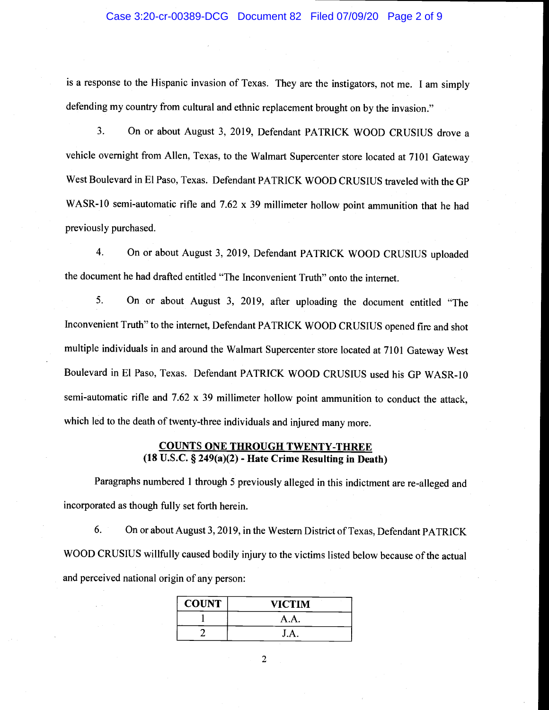#### Case 3:20-cr-00389-DCG Document 82 Filed 07/09/20 Page 2 of 9

is a response to the Hispanic invasion of Texas. They are the instigators, not me. I am simply defending my country from cultural and ethnic replacement brought on by the invasion."

3. On or about August 3, 2019, Defendant PATRICK WOOD CRUSIUS drove a vehicle overnight from Allen, Texas, to the Walmart Supercenter store located at 7101 Gateway West Boulevard in El Paso, Texas. Defendant PATRICK WOOD CRUSIUS traveled with the GP WASR-10 semi-automatic rifle and 7.62 x 39 millimeter hollow point ammunition that he had previously purchased.

4. On or about August 3, 2019, Defendant PATRICK WOOD CRUSIUS uploaded the document he had drafted entitled "The Inconvenient Truth" onto the internet.

5. On or about August 3, 2019, after uploading the document entitled "The Inconvenient Truth" to the internet, Defendant PATRICK WOOD CRUSIUS opened fire and shot multiple individuals in and around the Walmart Supercenter store located at 7101 Gateway West Boulevard in El Paso, Texas. Defendant PATRICK WOOD CRUSIUS used his GP WASR-10 semi-automatic rifle and 7.62 x 39 millimeter hollow point ammunition to conduct the attack, which led to the death of twenty-three individuals and injured many more.

#### COUNTS ONE THROUGH TWENTY-THREE (18 U.S.C. § 249(a)(2) - Hate Crime Resulting in Death)

Paragraphs numbered 1 through 5 previously alleged in this indictment are re-alleged and incorporated as though fully set forth herein.

6. On or about August 3,2019, in the Western District of Texas, Defendant PATRICK WOOD CRUSIUS willfully caused bodily injury to the victims listed below because of the actual and perceived national origin of any person:

| <b>COUNT</b> | <b>VICTIM</b> |
|--------------|---------------|
|              | A.A.          |
|              | J.A.          |

 $\overline{2}$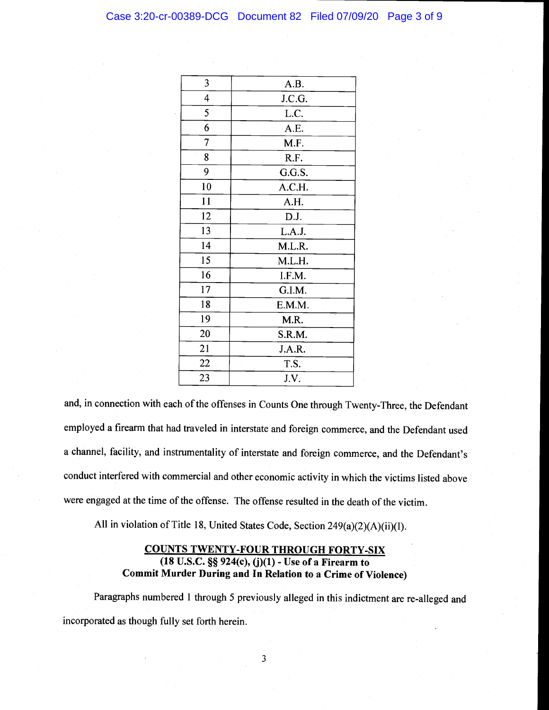#### Case 3:20-cr-00389-DCG Document 82 Filed 07/09/20 Page 3 of 9

| 3              | A.B.       |
|----------------|------------|
| 4              | J.C.G.     |
| 5              | L.C.       |
| 6              | l,<br>A.E. |
| $\overline{7}$ | M.F.       |
| 8              | R.F.       |
| 9              | G.G.S.     |
| 10             | A.C.H.     |
| 11             | A.H.       |
| 12             | D.J.       |
| 13             | L.A.J.     |
| 14             | M.L.R.     |
| 15             | M.L.H.     |
| 16             | I.F.M.     |
| 17             | G.I.M.     |
| 18             | E.M.M.     |
| 19             | M.R.       |
| 20             | S.R.M.     |
| 21             | J.A.R.     |
| 22             | T.S.       |
| 23             | J.V.       |

and, in connection with each of the offenses in Counts One through Twenty-Three, the Defendant employed a firearm that had traveled in interstate and foreign commerce, and the Defendant used a channel, facility, and instrumentality of interstate and foreign commerce, and the Defendant's conduct interfered with commercial and other economic activity in which the victims listed above were engaged at the time of the offense. The offense resulted in the death of the victim.

All in violation of Title 18, United States Code, Section 249(a)(2)(A)(ii)(I).

## COUNTS TWENTY-FOUR THROUGH FORTY-SIX (18 U.S.C. § 924(c), (j)(1) - Use of a Firearm to Commit Murder During and In Relation to a Crime of Violence)

Paragraphs numbered 1 through 5 previously alleged in this indictment are re-alleged and incorporated as though fully set forth herein.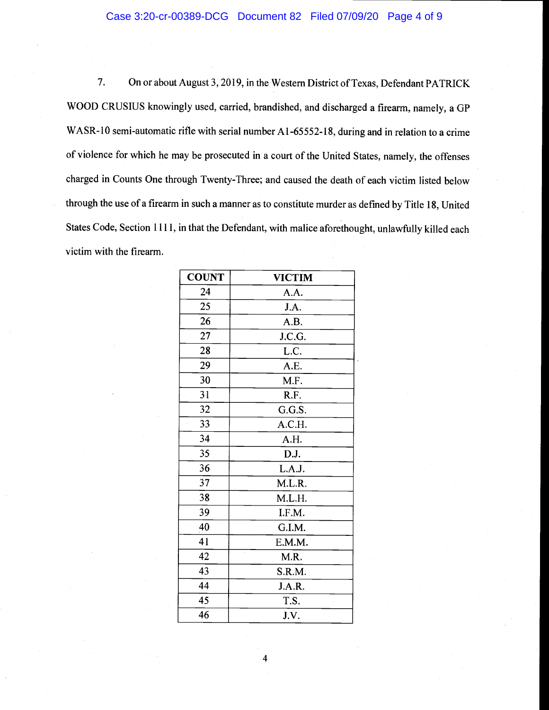#### Case 3:20-cr-00389-DCG Document 82 Filed 07/09/20 Page 4 of 9

7. On or about August 3, 2019, in the Western District of Texas, Defendant PATRICK WOOD CRUSIUS knowingly used, carried, brandished, and discharged a firearm, namely, a GP WASR-10 semi-automatic rifle with serial number A1-65552-18, during and in relation to a crime of violence for which he may be prosecuted in a court of the United States, namely, the offenses charged in Counts One through Twenty-Three; and caused the death of each victim listed below through the use of a firearm in such a manner as to constitute murder as defined by Title 18, United States Code, Section 1111, in that the Defendant, with malice aforethought, unlawfully killed each victim with the firearm.

| <b>COUNT</b> | <b>VICTIM</b> |
|--------------|---------------|
| 24           | A.A.          |
| 25           | J.A.          |
| 26           | A.B.          |
| 27           | J.C.G.        |
| 28           | L.C.          |
| 29           | A.E.          |
| 30           | M.F.          |
| 31           | R.F.          |
| 32           | G.G.S.        |
| 33           | A.C.H.        |
| 34           | A.H.          |
| 35           | D.J.          |
| 36           | L.A.J.        |
| 37           | M.L.R.        |
| 38           | M.L.H.        |
| 39           | I.F.M.        |
| 40           | G.I.M.        |
| 41           | E.M.M.        |
| 42           | M.R.          |
| 43           | S.R.M.        |
| 44           | J.A.R.        |
| 45           | T.S.          |
| 46           | J.V.          |

4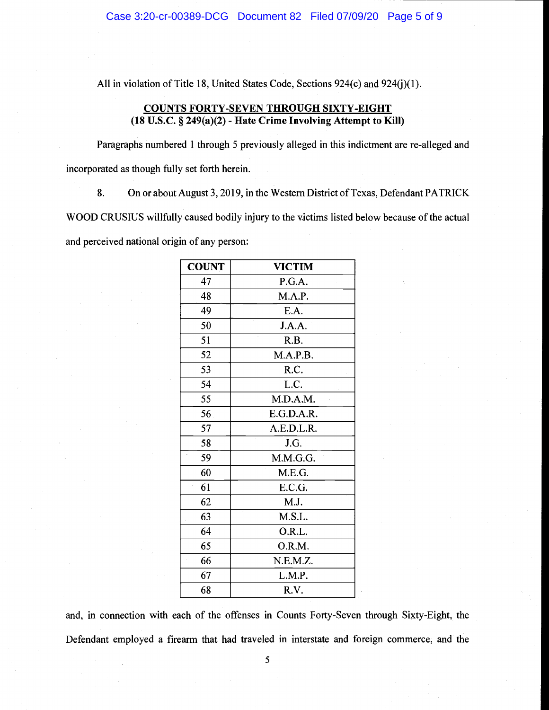All in violation of Title 18, United States Code, Sections 924(c) and 924(j)(1).

## COUNTS FORTY-SEVEN THROUGH SIXTY-EIGHT (18 U.S.C. § 249(a)(2) - Hate Crime Involving Attempt to Kill)

Paragraphs numbered 1 through 5 previously alleged in this indictment are re-alleged and incorporated as though fully set forth herein.

8. On or about August 3, 2019, in the Western District of Texas, Defendant PATRICK WOOD CRUSIUS willfully caused bodily injury to the victims listed below because of the actual and perceived national origin of any person:

| <b>COUNT</b> | <b>VICTIM</b> |
|--------------|---------------|
| 47           | P.G.A.        |
| 48           | M.A.P.        |
| 49           | E.A.          |
| 50           | J.A.A.        |
| 51           | R.B.          |
| 52           | M.A.P.B.      |
| 53           | R.C.          |
| 54           | L.C.          |
| 55           | M.D.A.M.      |
| 56           | E.G.D.A.R.    |
| 57           | A.E.D.L.R.    |
| 58           | J.G.          |
| 59           | M.M.G.G.      |
| 60           | M.E.G.        |
| 61           | E.C.G.        |
| 62           | M.J.          |
| 63           | M.S.L.        |
| 64           | O.R.L.        |
| 65           | O.R.M.        |
| 66           | N.E.M.Z.      |
| 67           | L.M.P.        |
| 68           | R.V.          |

and, in connection with each of the offenses in Counts Forty-Seven through Sixty-Eight, the Defendant employed a firearm that had traveled in interstate and foreign commerce, and the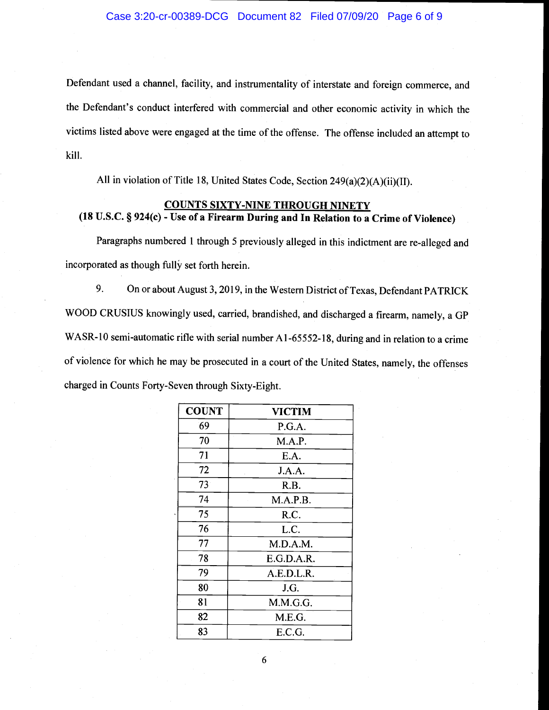Defendant used a channel, facility, and instrumentality of interstate and foreign commerce, and the Defendant's conduct interfered with commercial and other economic activity in which the victims listed above were engaged at the time of the offense. The offense included an attempt to kill.

All in violation of Title 18, United States Code, Section 249(a)(2)(A)(ii)(II).

## COUNTS SIXTY-NINE THROUGH NINETY (18 U.S.C. § 924 $(c)$  - Use of a Firearm During and In Relation to a Crime of Violence)

Paragraphs numbered I through 5 previously alleged in this indictment are re-alleged and incorporated as though fully set forth herein.

9. On or about August 3, 2019, in the Western District of Texas, Defendant PATRICK WOOD CRUSIUS knowingly used, carried, brandished, and discharged a firearm, namely, a GP WASR-10 semi-automatic rifle with serial number A1-65552-18, during and in relation to a crime of violence for which he may be prosecuted in a court of the United States, namely, the offenses charged in Counts Forty-Seven through Sixty-Eight.

| <b>COUNT</b> | <b>VICTIM</b> |
|--------------|---------------|
| 69           | P.G.A.        |
| 70           | M.A.P.        |
| 71           | E.A.          |
| 72           | J.A.A.        |
| $73^{\circ}$ | R.B.          |
| 74           | M.A.P.B.      |
| 75<br>í,     | R.C.          |
| 76           | L.C.          |
| 77           | M.D.A.M.      |
| 78           | E.G.D.A.R.    |
| 79           | A.E.D.L.R.    |
| 80           | J.G.          |
| 81           | M.M.G.G.      |
| 82           | M.E.G.        |
| 83           | E.C.G.        |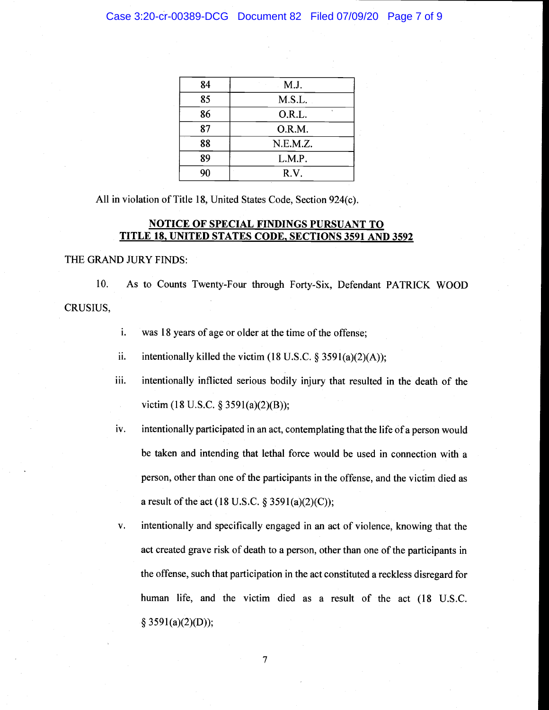| 84 | M.J.     |
|----|----------|
| 85 | M.S.L.   |
| 86 | O.R.L.   |
| 87 | O.R.M.   |
| 88 | N.E.M.Z. |
| 89 | L.M.P.   |
| 90 | R.V.     |

All in violation of Title 18, United States Code, Section 924(c).

## NOTICE OF SPECIAL FINDINGS PURSUANT TO TITLE 18, UNITED STATES CODE. SECTIONS 3591 AND 3592

THE GRAND JURY FINDS:

10. As to Counts Twenty-Four through Forty-Six, Defendant PATRICK WOOD CRUSIUS,

- i. was 18 years of age or older at the time of the offense;
- ii. intentionally killed the victim (18 U.S.C.  $\S$  3591(a)(2)(A));
- iii. intentionally inflicted serious bodily injury that resulted in the death of the victim (18 U.S.C. § 3591(a)(2)(B));
- iv. intentionally participated in an act, contemplating that the life of a person would be taken and intending that lethal force would be used in connection with a person, other than one of the participants in the offense, and the victim died as a result of the act (18 U.S.C.  $\S 3591(a)(2)(C)$ );
- v. intentionally and specifically engaged in an act of violence, knowing that the act created grave risk of death to a person, other than one of the participants in the offense, such that participation in the act constituted a reckless disregard for human life, and the victim died as a result of the act (18 U.S.C.  $§$  3591(a)(2)(D));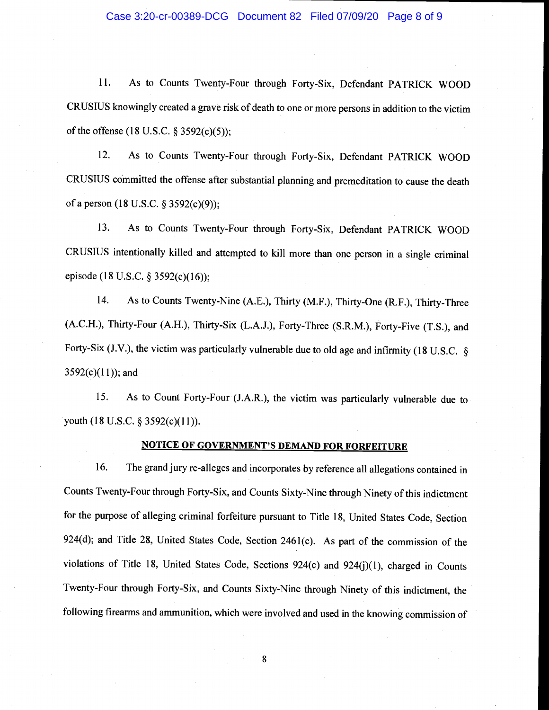#### Case 3:20-cr-00389-DCG Document 82 Filed 07/09/20 Page 8 of 9

11. As to Counts Twenty-Four through Forty-Six, Defendant PATRICK WOOD CRUSIUS knowingly created a grave risk of death to one or more persons in addition to the victim of the offense (18 U.S.C. § 3592(c)(5));

12. As to Counts Twenty-Four through Forty-Six, Defendant PATRICK WOOD CRUSIUS committed the offense after substantial planning and premeditation to cause the death of a person (18 U.S.C. § 3592(c)(9));

13. As to Counts Twenty-Four through Forty-Six, Defendant PATRICK WOOD CRUSIUS intentionally killed and attempted to kill more than one person in a single criminal episode (18 U.S.C. § 3592(c)(16));

14. As to Counts Twenty-Nine (A.E.), Thirty (M.F.), Thirty-One (R.F.), Thirty-Three (A.C.H.), Thirty-Four (A.H.), Thirty-Six (L.A.J.), Forty-Three (S.R.M.), Forty-Five (T.S.), and Forty-Six (J.V.), the victim was particularly vulnerable due to old age and infirmity (18 U.S.C.  $\S$  $3592(c)(11)$ ; and

15. As to Count Forty-Four (J.A.R.), the victim was particularly vulnerable due to youth (18 U.S.C. § 3592(c)(11)).

#### NOTICE OF GOVERNMENT'S DEMAND FOR FORFEITURE

16. The grand jury re-alleges and incorporates by reference all allegations contained in Counts Twenty-Four through Forty-Six, and Counts Sixty-Nine through Ninety of this indictment for the purpose of alleging criminal forfeiture pursuant to Title 18, United States Code, Section 924(d); and Title 28, United States Code, Section 2461(c). As part of the commission of the violations of Title 18, United States Code, Sections 924(c) and 924(j)(1), charged in Counts Twenty-Four through Forty-Six, and Counts Sixty-Nine through Ninety of this indictment, the following firearms and ammunition, which were involved and used in the knowing commission of

8